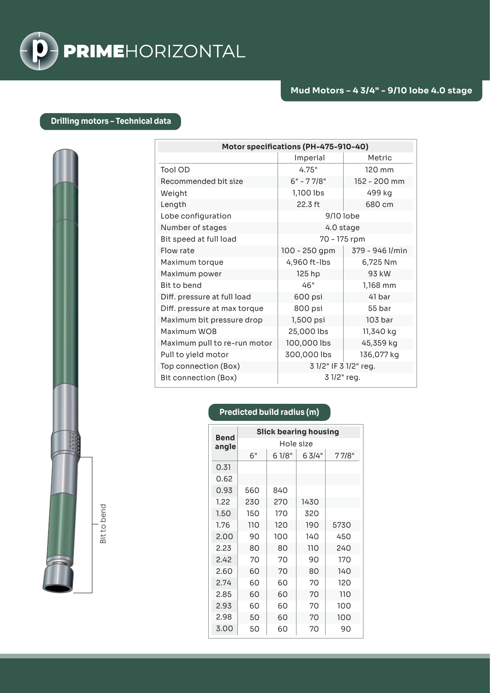

## **Drilling motors – Technical data**

| Motor specifications (PH-475-910-40) |                       |                 |  |  |
|--------------------------------------|-----------------------|-----------------|--|--|
|                                      | Imperial              | Metric          |  |  |
| Tool OD                              | 4.75"                 | 120 mm          |  |  |
| Recommended bit size                 | $6" - 77/8"$          | 152 - 200 mm    |  |  |
| Weight                               | 1,100 lbs             | 499 kg          |  |  |
| Length                               | 22.3 ft               | 680 cm          |  |  |
| Lobe configuration                   | 9/10 lobe             |                 |  |  |
| Number of stages                     | 4.0 stage             |                 |  |  |
| Bit speed at full load               | 70 - 175 rpm          |                 |  |  |
| Flow rate                            | 100 - 250 gpm         | 379 - 946 l/min |  |  |
| Maximum torque                       | 4,960 ft-lbs          | 6,725 Nm        |  |  |
| Maximum power                        | 125 hp                | 93 kW           |  |  |
| Bit to bend                          | 46"                   | 1,168 mm        |  |  |
| Diff. pressure at full load          | 600 psi               | 41 bar          |  |  |
| Diff. pressure at max torque         | 800 psi               | 55 bar          |  |  |
| Maximum bit pressure drop            | 1,500 psi             | 103 bar         |  |  |
| Maximum WOB                          | 25,000 lbs            | 11,340 kg       |  |  |
| Maximum pull to re-run motor         | 100,000 lbs           | 45,359 kg       |  |  |
| Pull to yield motor                  | 300,000 lbs           | 136,077 kg      |  |  |
| Top connection (Box)                 | 3 1/2" IF 3 1/2" reg. |                 |  |  |
| Bit connection (Box)                 | 3 1/2" reg.           |                 |  |  |

## **Predicted build radius (m)**

|                      | <b>Slick bearing housing</b> |       |       |       |  |
|----------------------|------------------------------|-------|-------|-------|--|
| <b>Bend</b><br>angle | Hole size                    |       |       |       |  |
|                      | б"                           | 61/8" | 63/4" | 77/8" |  |
| 0.31                 |                              |       |       |       |  |
| 0.62                 |                              |       |       |       |  |
| 0.93                 | 560                          | 840   |       |       |  |
| 1.22                 | 230                          | 270   | 1430  |       |  |
| 1.50                 | 150                          | 170   | 320   |       |  |
| 1.76                 | 110                          | 120   | 190   | 5730  |  |
| 2.00                 | 90                           | 100   | 140   | 450   |  |
| 2.23                 | 80                           | 80    | 110   | 240   |  |
| 2.42                 | 70                           | 70    | 90    | 170   |  |
| 2.60                 | 60                           | 70    | 80    | 140   |  |
| 2.74                 | 60                           | 60    | 70    | 120   |  |
| 2.85                 | 60                           | 60    | 70    | 110   |  |
| 2.93                 | 60                           | 60    | 70    | 100   |  |
| 2.98                 | 50                           | 60    | 70    | 100   |  |
| 3.00                 | 50                           | 60    | 70    | 90    |  |

Bit to bend Bit to bend